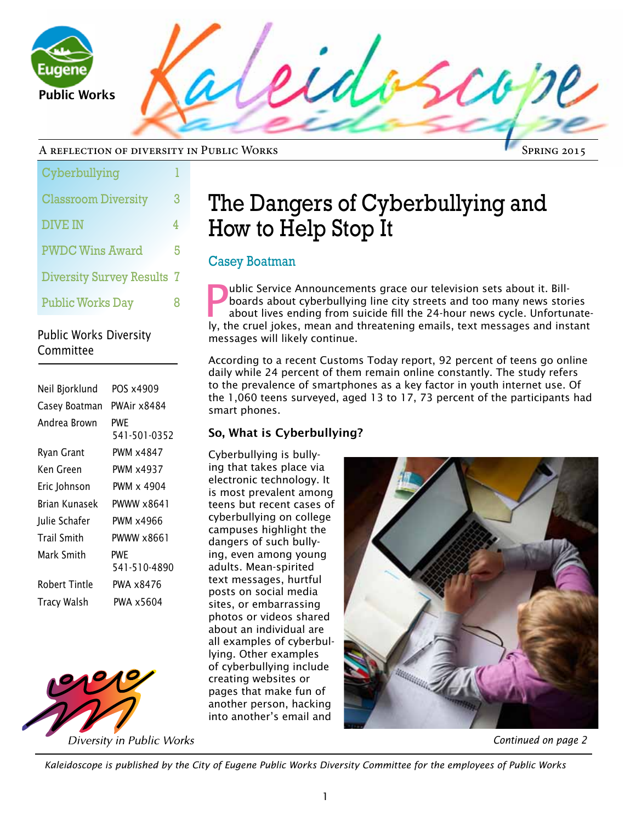

#### A reflection of diversity in Public Works

| Cyberbullying                     |   |
|-----------------------------------|---|
| <b>Classroom Diversity</b>        | 3 |
| <b>DIVE IN</b>                    | 4 |
| <b>PWDC Wins Award</b>            | 5 |
| <b>Diversity Survey Results 7</b> |   |
| <b>Public Works Day</b>           | R |

# Public Works Diversity Committee

| Neil Bjorklund | POS x4909           |
|----------------|---------------------|
| Casey Boatman  | PWAir x8484         |
| Andrea Brown   | PWF<br>541-501-0352 |
| Ryan Grant     | PWM x4847           |
| Ken Green      | <b>PWM x4937</b>    |
| Eric Johnson   | PWM x 4904          |
| Rrian Kunasek  | PWWW x8641          |
| Julie Schafer  | PWM x4966           |
| Trail Smith    | PWWW x8661          |
| Mark Smith     | PWF<br>541-510-4890 |
| Robert Tintle  | PWA x8476           |
| Tracy Walsh    | PWA x5604           |



Diversity in Public Works

# The Dangers of Cyberbullying and How to Help Stop It

# Casey Boatman

P ublic Service Announcements grace our television sets about it. Billboards about cyberbullying line city streets and too many news stories about lives ending from suicide fill the 24-hour news cycle. Unfortunately, the cruel jokes, mean and threatening emails, text messages and instant messages will likely continue.

According to a recent Customs Today report, 92 percent of teens go online daily while 24 percent of them remain online constantly. The study refers to the prevalence of smartphones as a key factor in youth internet use. Of the 1,060 teens surveyed, aged 13 to 17, 73 percent of the participants had smart phones.

# So, What is Cyberbullying?

Cyberbullying is bullying that takes place via electronic technology. It is most prevalent among teens but recent cases of cyberbullying on college campuses highlight the dangers of such bullying, even among young adults. Mean-spirited text messages, hurtful posts on social media sites, or embarrassing photos or videos shared about an individual are all examples of cyberbullying. Other examples of cyberbullying include creating websites or pages that make fun of another person, hacking into another's email and



### *Continued on page 2*

Spring 2015

*Kaleidoscope is published by the City of Eugene Public Works Diversity Committee for the employees of Public Works*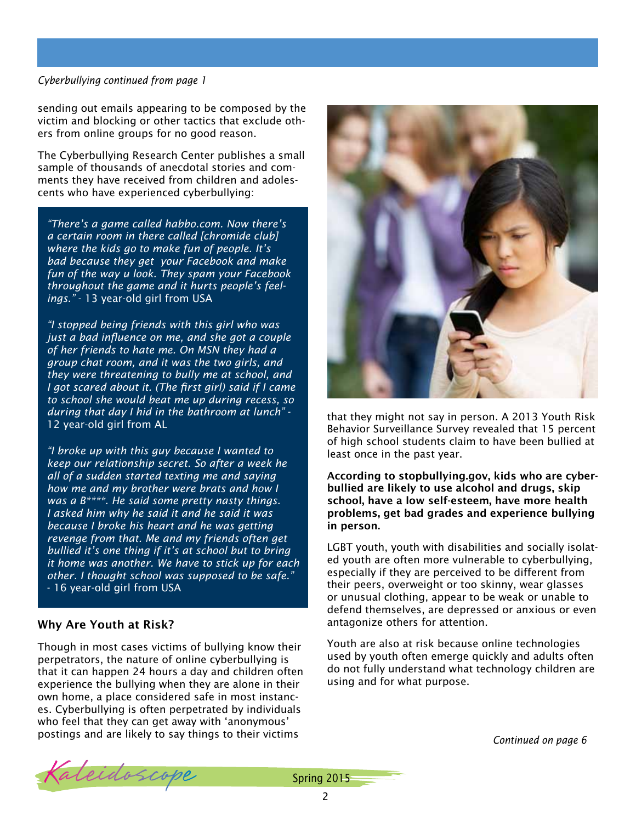#### *Cyberbullying continued from page 1*

sending out emails appearing to be composed by the victim and blocking or other tactics that exclude others from online groups for no good reason.

The Cyberbullying Research Center publishes a small sample of thousands of anecdotal stories and comments they have received from children and adolescents who have experienced cyberbullying:

*"There's a game called habbo.com. Now there's a certain room in there called [chromide club] where the kids go to make fun of people. It's bad because they get your Facebook and make fun of the way u look. They spam your Facebook throughout the game and it hurts people's feelings."* - 13 year-old girl from USA

*"I stopped being friends with this girl who was just a bad influence on me, and she got a couple of her friends to hate me. On MSN they had a group chat room, and it was the two girls, and they were threatening to bully me at school, and I got scared about it. (The first girl) said if I came to school she would beat me up during recess, so during that day I hid in the bathroom at lunch"* - 12 year-old girl from AL

*"I broke up with this guy because I wanted to keep our relationship secret. So after a week he all of a sudden started texting me and saying how me and my brother were brats and how I was a B\*\*\*\*. He said some pretty nasty things. I asked him why he said it and he said it was because I broke his heart and he was getting revenge from that. Me and my friends often get bullied it's one thing if it's at school but to bring it home was another. We have to stick up for each other. I thought school was supposed to be safe."* - 16 year-old girl from USA

### Why Are Youth at Risk?

Though in most cases victims of bullying know their perpetrators, the nature of online cyberbullying is that it can happen 24 hours a day and children often experience the bullying when they are alone in their own home, a place considered safe in most instances. Cyberbullying is often perpetrated by individuals who feel that they can get away with 'anonymous' postings and are likely to say things to their victims



that they might not say in person. A 2013 Youth Risk Behavior Surveillance Survey revealed that 15 percent of high school students claim to have been bullied at least once in the past year.

According to stopbullying.gov, kids who are cyberbullied are likely to use alcohol and drugs, skip school, have a low self-esteem, have more health problems, get bad grades and experience bullying in person.

LGBT youth, youth with disabilities and socially isolated youth are often more vulnerable to cyberbullying, especially if they are perceived to be different from their peers, overweight or too skinny, wear glasses or unusual clothing, appear to be weak or unable to defend themselves, are depressed or anxious or even antagonize others for attention.

Youth are also at risk because online technologies used by youth often emerge quickly and adults often do not fully understand what technology children are using and for what purpose.

*Continued on page 6*

Kaleidoscope Spring 2015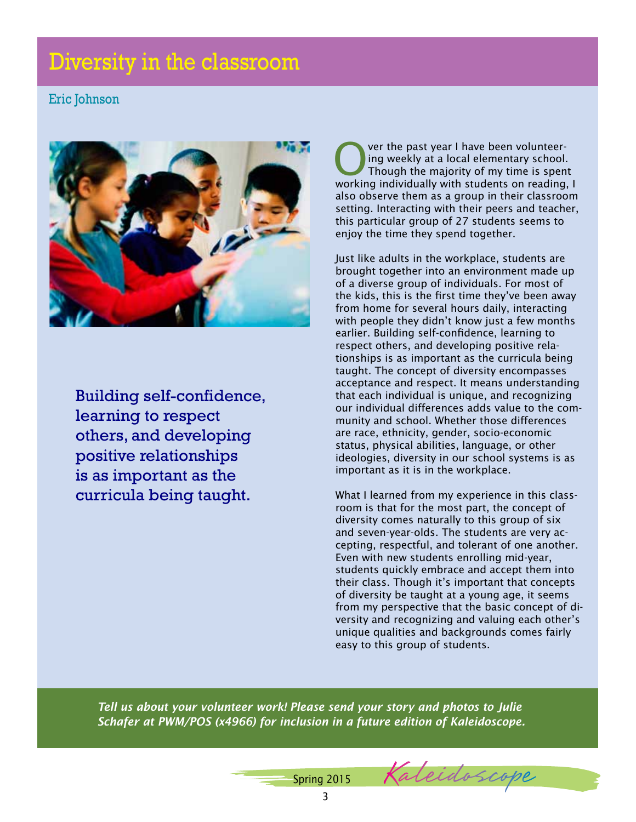# Diversity in the classroom

# Eric Johnson



Building self-confidence, learning to respect others, and developing positive relationships is as important as the curricula being taught.

Over the past year I have been volunteer-<br>
ing weekly at a local elementary school.<br>
Though the majority of my time is spent ing weekly at a local elementary school. working individually with students on reading, I also observe them as a group in their classroom setting. Interacting with their peers and teacher, this particular group of 27 students seems to enjoy the time they spend together.

Just like adults in the workplace, students are brought together into an environment made up of a diverse group of individuals. For most of the kids, this is the first time they've been away from home for several hours daily, interacting with people they didn't know just a few months earlier. Building self-confidence, learning to respect others, and developing positive relationships is as important as the curricula being taught. The concept of diversity encompasses acceptance and respect. It means understanding that each individual is unique, and recognizing our individual differences adds value to the community and school. Whether those differences are race, ethnicity, gender, socio-economic status, physical abilities, language, or other ideologies, diversity in our school systems is as important as it is in the workplace.

What I learned from my experience in this classroom is that for the most part, the concept of diversity comes naturally to this group of six and seven-year-olds. The students are very accepting, respectful, and tolerant of one another. Even with new students enrolling mid-year, students quickly embrace and accept them into their class. Though it's important that concepts of diversity be taught at a young age, it seems from my perspective that the basic concept of diversity and recognizing and valuing each other's unique qualities and backgrounds comes fairly easy to this group of students.

*Tell us about your volunteer work! Please send your story and photos to Julie Schafer at PWM/POS (x4966) for inclusion in a future edition of Kaleidoscope.*

> 3 Spring 2015 Kaleidoscope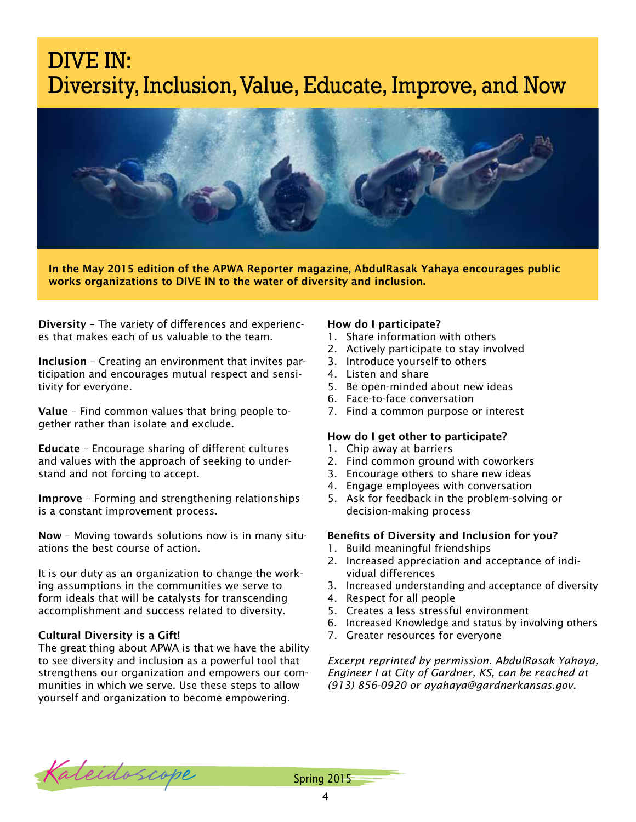# DIVE IN: Diversity, Inclusion, Value, Educate, Improve, and Now



In the May 2015 edition of the APWA Reporter magazine, AbdulRasak Yahaya encourages public works organizations to DIVE IN to the water of diversity and inclusion.

Diversity – The variety of differences and experiences that makes each of us valuable to the team.

Inclusion – Creating an environment that invites participation and encourages mutual respect and sensitivity for everyone.

Value – Find common values that bring people together rather than isolate and exclude.

Educate – Encourage sharing of different cultures and values with the approach of seeking to understand and not forcing to accept.

Improve – Forming and strengthening relationships is a constant improvement process.

Now – Moving towards solutions now is in many situations the best course of action.

It is our duty as an organization to change the working assumptions in the communities we serve to form ideals that will be catalysts for transcending accomplishment and success related to diversity.

#### Cultural Diversity is a Gift!

The great thing about APWA is that we have the ability to see diversity and inclusion as a powerful tool that strengthens our organization and empowers our communities in which we serve. Use these steps to allow yourself and organization to become empowering.

#### How do I participate?

- 1. Share information with others
- 2. Actively participate to stay involved
- 3. Introduce yourself to others
- 4. Listen and share
- 5. Be open-minded about new ideas
- 6. Face-to-face conversation
- 7. Find a common purpose or interest

#### How do I get other to participate?

- 1. Chip away at barriers
- 2. Find common ground with coworkers
- 3. Encourage others to share new ideas
- 4. Engage employees with conversation
- 5. Ask for feedback in the problem-solving or decision-making process

#### Benefits of Diversity and Inclusion for you?

- 1. Build meaningful friendships
- 2. Increased appreciation and acceptance of individual differences
- 3. Increased understanding and acceptance of diversity
- 4. Respect for all people
- 5. Creates a less stressful environment
- 6. Increased Knowledge and status by involving others
- 7. Greater resources for everyone

*Excerpt reprinted by permission. AbdulRasak Yahaya, Engineer I at City of Gardner, KS, can be reached at (913) 856-0920 or [ayahaya@gardnerkansas.gov.](mailto:ayahaya@gardnerkansas.gov)*

Kaleidoscope Spring 2015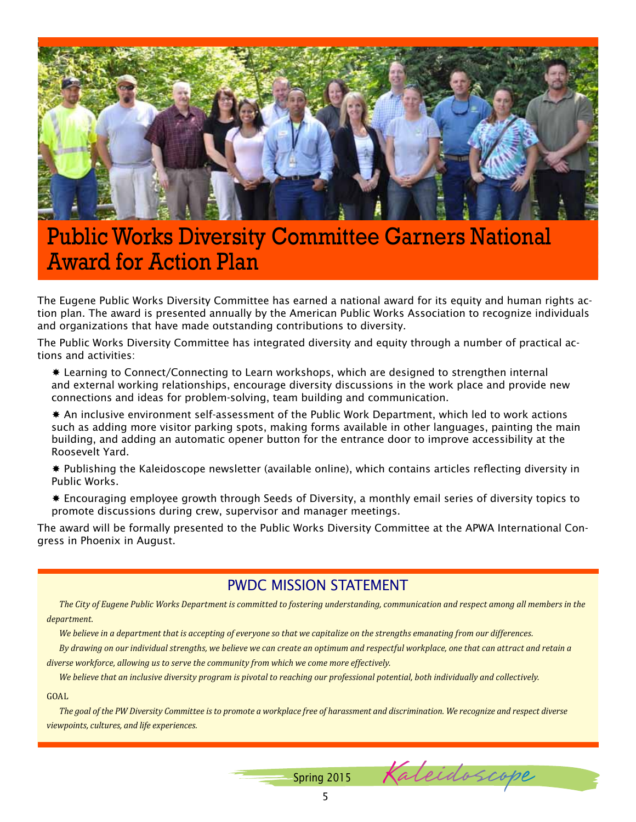

# Public Works Diversity Committee Garners National Award for Action Plan

The Eugene Public Works Diversity Committee has earned a national award for its equity and human rights action plan. The award is presented annually by the American Public Works Association to recognize individuals and organizations that have made outstanding contributions to diversity.

The Public Works Diversity Committee has integrated diversity and equity through a number of practical actions and activities:

 Learning to Connect/Connecting to Learn workshops, which are designed to strengthen internal and external working relationships, encourage diversity discussions in the work place and provide new connections and ideas for problem-solving, team building and communication.

 An inclusive environment self-assessment of the Public Work Department, which led to work actions such as adding more visitor parking spots, making forms available in other languages, painting the main building, and adding an automatic opener button for the entrance door to improve accessibility at the Roosevelt Yard.

 Publishing the Kaleidoscope newsletter (available online), which contains articles reflecting diversity in Public Works.

 Encouraging employee growth through Seeds of Diversity, a monthly email series of diversity topics to promote discussions during crew, supervisor and manager meetings.

The award will be formally presented to the Public Works Diversity Committee at the APWA International Congress in Phoenix in August.

# PWDC MISSION STATEMENT

*The City of Eugene Public Works Department is committed to fostering understanding, communication and respect among all members in the department.* 

*We believe in a department that is accepting of everyone so that we capitalize on the strengths emanating from our differences.*

*By drawing on our individual strengths, we believe we can create an optimum and respectful workplace, one that can attract and retain a diverse workforce, allowing us to serve the community from which we come more effectively.*

*We believe that an inclusive diversity program is pivotal to reaching our professional potential, both individually and collectively.*

#### **GOAL**

*The goal of the PW Diversity Committee is to promote a workplace free of harassment and discrimination. We recognize and respect diverse viewpoints, cultures, and life experiences.*

Spring 2015 Kaleidoscope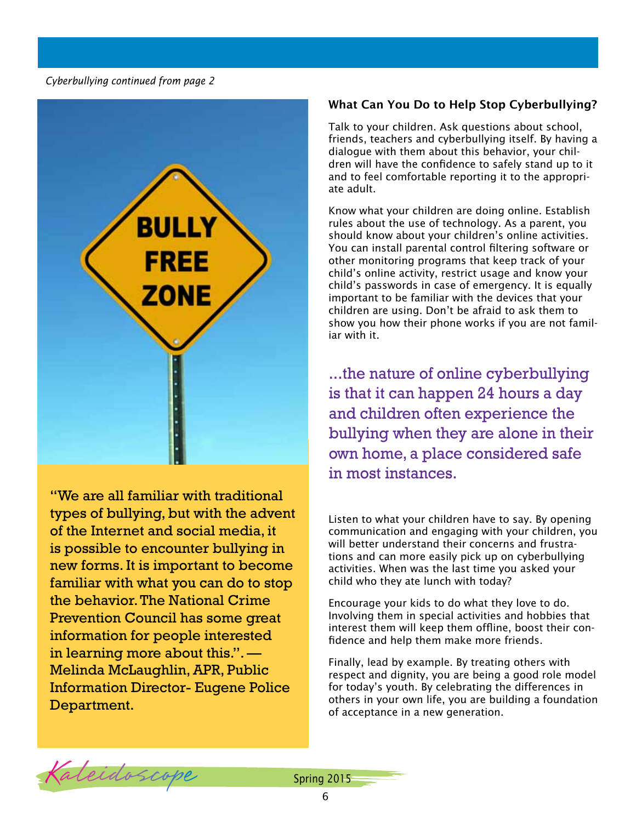*Cyberbullying continued from page 2*



"We are all familiar with traditional types of bullying, but with the advent of the Internet and social media, it is possible to encounter bullying in new forms. It is important to become familiar with what you can do to stop the behavior. The National Crime Prevention Council has some great information for people interested in learning more about this.". — Melinda McLaughlin, APR, Public Information Director- Eugene Police Department.

### What Can You Do to Help Stop Cyberbullying?

Talk to your children. Ask questions about school, friends, teachers and cyberbullying itself. By having a dialogue with them about this behavior, your children will have the confidence to safely stand up to it and to feel comfortable reporting it to the appropriate adult.

Know what your children are doing online. Establish rules about the use of technology. As a parent, you should know about your children's online activities. You can install parental control filtering software or other monitoring programs that keep track of your child's online activity, restrict usage and know your child's passwords in case of emergency. It is equally important to be familiar with the devices that your children are using. Don't be afraid to ask them to show you how their phone works if you are not familiar with it.

...the nature of online cyberbullying is that it can happen 24 hours a day and children often experience the bullying when they are alone in their own home, a place considered safe in most instances.

Listen to what your children have to say. By opening communication and engaging with your children, you will better understand their concerns and frustrations and can more easily pick up on cyberbullying activities. When was the last time you asked your child who they ate lunch with today?

Encourage your kids to do what they love to do. Involving them in special activities and hobbies that interest them will keep them offline, boost their confidence and help them make more friends.

Finally, lead by example. By treating others with respect and dignity, you are being a good role model for today's youth. By celebrating the differences in others in your own life, you are building a foundation of acceptance in a new generation.

Kaleidoscope Spring 2015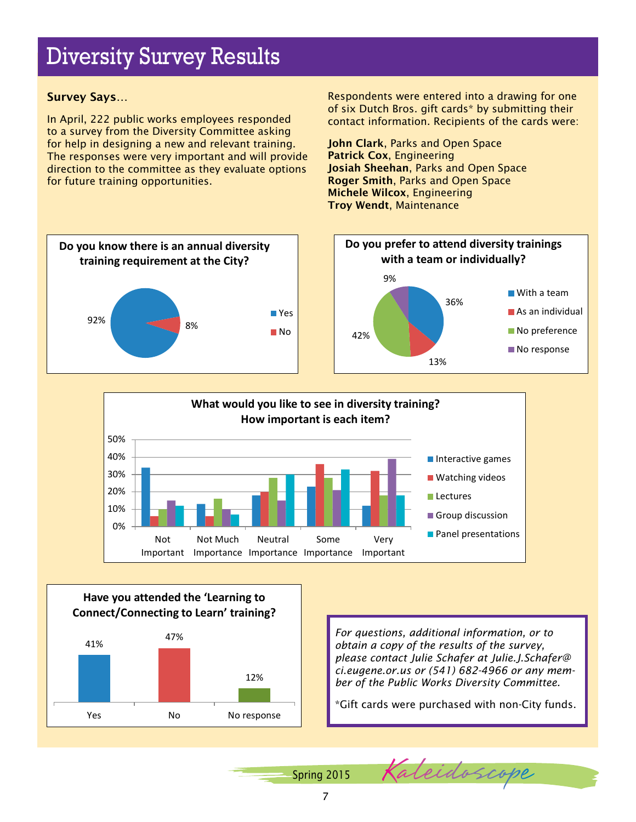# Diversity Survey Results

### Survey Says…

In April, 222 public works employees responded to a survey from the Diversity Committee asking for help in designing a new and relevant training. The responses were very important and will provide direction to the committee as they evaluate options for future training opportunities.

Respondents were entered into a drawing for one of six Dutch Bros. gift cards\* by submitting their contact information. Recipients of the cards were:

John Clark, Parks and Open Space Patrick Cox, Engineering Josiah Sheehan, Parks and Open Space Roger Smith, Parks and Open Space Michele Wilcox, Engineering Troy Wendt, Maintenance





### **Have you attended the 'Learning to Connect/Connecting to Learn' training?**



*For questions, additional information, or to obtain a copy of the results of the survey, please contact Julie Schafer at [Julie.J.Schafer@](mailto:Julie.J.Schafer@ci.eugene.or.us) [ci.eugene.or.us](mailto:Julie.J.Schafer@ci.eugene.or.us) or (541) 682-4966 or any member of the Public Works Diversity Committee.*

\*Gift cards were purchased with non-City funds.

Spring 2015 Kaleidoscope